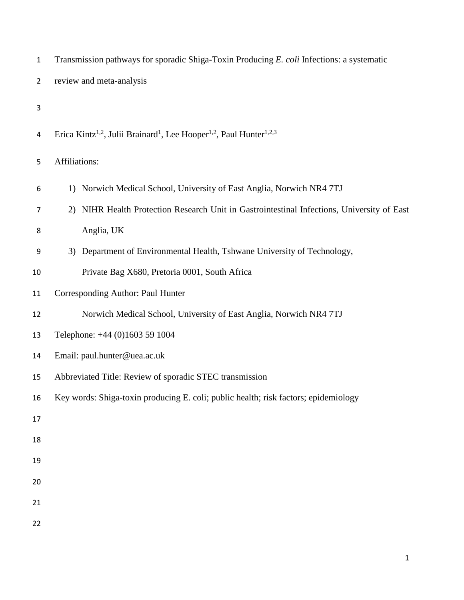| $\mathbf 1$    | Transmission pathways for sporadic Shiga-Toxin Producing E. coli Infections: a systematic                           |
|----------------|---------------------------------------------------------------------------------------------------------------------|
| $\overline{2}$ | review and meta-analysis                                                                                            |
| 3              |                                                                                                                     |
| 4              | Erica Kintz <sup>1,2</sup> , Julii Brainard <sup>1</sup> , Lee Hooper <sup>1,2</sup> , Paul Hunter <sup>1,2,3</sup> |
| 5              | Affiliations:                                                                                                       |
| 6              | 1) Norwich Medical School, University of East Anglia, Norwich NR4 7TJ                                               |
| 7              | 2) NIHR Health Protection Research Unit in Gastrointestinal Infections, University of East                          |
| 8              | Anglia, UK                                                                                                          |
| 9              | 3) Department of Environmental Health, Tshwane University of Technology,                                            |
| 10             | Private Bag X680, Pretoria 0001, South Africa                                                                       |
| 11             | Corresponding Author: Paul Hunter                                                                                   |
| 12             | Norwich Medical School, University of East Anglia, Norwich NR4 7TJ                                                  |
| 13             | Telephone: +44 (0)1603 59 1004                                                                                      |
| 14             | Email: paul.hunter@uea.ac.uk                                                                                        |
| 15             | Abbreviated Title: Review of sporadic STEC transmission                                                             |
| 16             | Key words: Shiga-toxin producing E. coli; public health; risk factors; epidemiology                                 |
| 17             |                                                                                                                     |
| 18             |                                                                                                                     |
| 19             |                                                                                                                     |
| 20             |                                                                                                                     |
| 21             |                                                                                                                     |
| 22             |                                                                                                                     |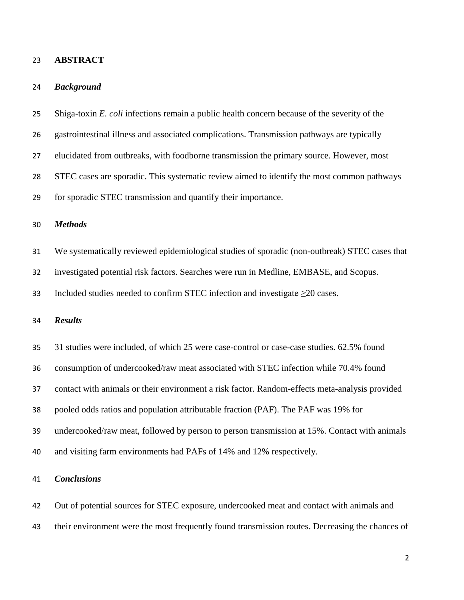#### **ABSTRACT**

#### *Background*

 Shiga-toxin *E. coli* infections remain a public health concern because of the severity of the gastrointestinal illness and associated complications. Transmission pathways are typically elucidated from outbreaks, with foodborne transmission the primary source. However, most STEC cases are sporadic. This systematic review aimed to identify the most common pathways for sporadic STEC transmission and quantify their importance. *Methods* We systematically reviewed epidemiological studies of sporadic (non-outbreak) STEC cases that investigated potential risk factors. Searches were run in Medline, EMBASE, and Scopus. Included studies needed to confirm STEC infection and investigate ≥20 cases. *Results* 31 studies were included, of which 25 were case-control or case-case studies. 62.5% found consumption of undercooked/raw meat associated with STEC infection while 70.4% found contact with animals or their environment a risk factor. Random-effects meta-analysis provided pooled odds ratios and population attributable fraction (PAF). The PAF was 19% for undercooked/raw meat, followed by person to person transmission at 15%. Contact with animals and visiting farm environments had PAFs of 14% and 12% respectively. *Conclusions*

 Out of potential sources for STEC exposure, undercooked meat and contact with animals and their environment were the most frequently found transmission routes. Decreasing the chances of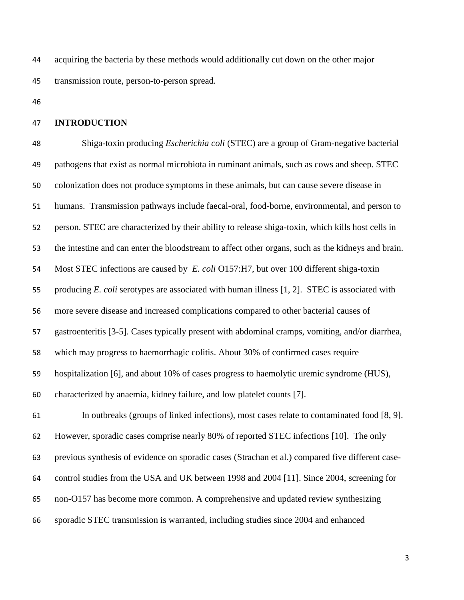acquiring the bacteria by these methods would additionally cut down on the other major transmission route, person-to-person spread.

#### **INTRODUCTION**

 Shiga-toxin producing *Escherichia coli* (STEC) are a group of Gram-negative bacterial pathogens that exist as normal microbiota in ruminant animals, such as cows and sheep. STEC colonization does not produce symptoms in these animals, but can cause severe disease in humans. Transmission pathways include faecal-oral, food-borne, environmental, and person to person. STEC are characterized by their ability to release shiga-toxin, which kills host cells in the intestine and can enter the bloodstream to affect other organs, such as the kidneys and brain. Most STEC infections are caused by *E. coli* O157:H7, but over 100 different shiga-toxin producing *E. coli* serotypes are associated with human illness [1, 2]. STEC is associated with more severe disease and increased complications compared to other bacterial causes of gastroenteritis [3-5]. Cases typically present with abdominal cramps, vomiting, and/or diarrhea, which may progress to haemorrhagic colitis. About 30% of confirmed cases require hospitalization [6], and about 10% of cases progress to haemolytic uremic syndrome (HUS), characterized by anaemia, kidney failure, and low platelet counts [7].

 In outbreaks (groups of linked infections), most cases relate to contaminated food [8, 9]. However, sporadic cases comprise nearly 80% of reported STEC infections [10]. The only previous synthesis of evidence on sporadic cases (Strachan et al.) compared five different case- control studies from the USA and UK between 1998 and 2004 [11]. Since 2004, screening for non-O157 has become more common. A comprehensive and updated review synthesizing sporadic STEC transmission is warranted, including studies since 2004 and enhanced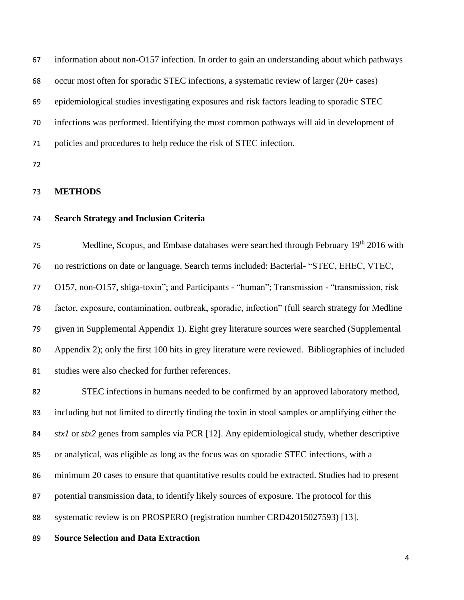| 67 | information about non-O157 infection. In order to gain an understanding about which pathways |
|----|----------------------------------------------------------------------------------------------|
| 68 | occur most often for sporadic STEC infections, a systematic review of larger (20+ cases)     |
| 69 | epidemiological studies investigating exposures and risk factors leading to sporadic STEC    |
| 70 | infections was performed. Identifying the most common pathways will aid in development of    |
| 71 | policies and procedures to help reduce the risk of STEC infection.                           |
| 72 |                                                                                              |

**METHODS**

# **Search Strategy and Inclusion Criteria**

75 Medline, Scopus, and Embase databases were searched through February 19<sup>th</sup> 2016 with no restrictions on date or language. Search terms included: Bacterial- "STEC, EHEC, VTEC, O157, non-O157, shiga-toxin"; and Participants - "human"; Transmission - "transmission, risk factor, exposure, contamination, outbreak, sporadic, infection" (full search strategy for Medline given in Supplemental Appendix 1). Eight grey literature sources were searched (Supplemental Appendix 2); only the first 100 hits in grey literature were reviewed. Bibliographies of included studies were also checked for further references.

 STEC infections in humans needed to be confirmed by an approved laboratory method, including but not limited to directly finding the toxin in stool samples or amplifying either the *stx1* or *stx2* genes from samples via PCR [12]. Any epidemiological study, whether descriptive or analytical, was eligible as long as the focus was on sporadic STEC infections, with a minimum 20 cases to ensure that quantitative results could be extracted. Studies had to present potential transmission data, to identify likely sources of exposure. The protocol for this systematic review is on PROSPERO (registration number CRD42015027593) [13].

# **Source Selection and Data Extraction**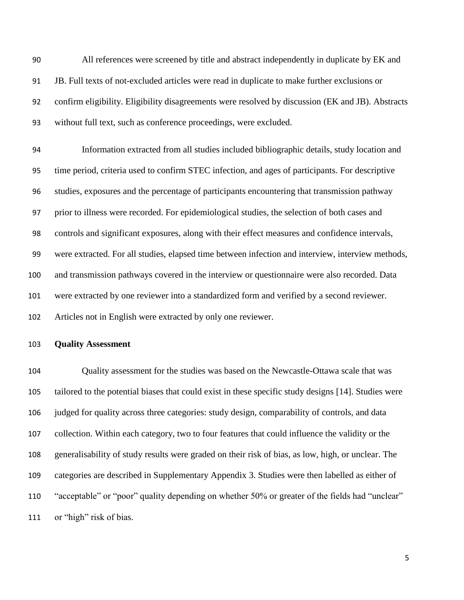All references were screened by title and abstract independently in duplicate by EK and JB. Full texts of not-excluded articles were read in duplicate to make further exclusions or confirm eligibility. Eligibility disagreements were resolved by discussion (EK and JB). Abstracts without full text, such as conference proceedings, were excluded.

 Information extracted from all studies included bibliographic details, study location and time period, criteria used to confirm STEC infection, and ages of participants. For descriptive studies, exposures and the percentage of participants encountering that transmission pathway prior to illness were recorded. For epidemiological studies, the selection of both cases and controls and significant exposures, along with their effect measures and confidence intervals, were extracted. For all studies, elapsed time between infection and interview, interview methods, and transmission pathways covered in the interview or questionnaire were also recorded. Data were extracted by one reviewer into a standardized form and verified by a second reviewer. Articles not in English were extracted by only one reviewer.

#### **Quality Assessment**

 Quality assessment for the studies was based on the Newcastle-Ottawa scale that was tailored to the potential biases that could exist in these specific study designs [14]. Studies were judged for quality across three categories: study design, comparability of controls, and data collection. Within each category, two to four features that could influence the validity or the generalisability of study results were graded on their risk of bias, as low, high, or unclear. The categories are described in Supplementary Appendix 3. Studies were then labelled as either of "acceptable" or "poor" quality depending on whether 50% or greater of the fields had "unclear" 111 or "high" risk of bias.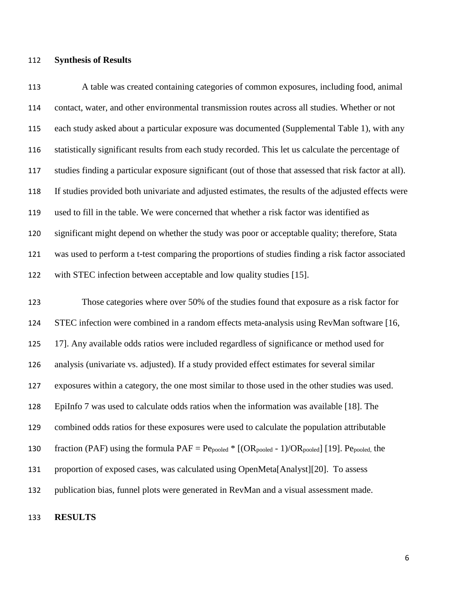#### **Synthesis of Results**

 A table was created containing categories of common exposures, including food, animal contact, water, and other environmental transmission routes across all studies. Whether or not each study asked about a particular exposure was documented (Supplemental Table 1), with any statistically significant results from each study recorded. This let us calculate the percentage of studies finding a particular exposure significant (out of those that assessed that risk factor at all). If studies provided both univariate and adjusted estimates, the results of the adjusted effects were used to fill in the table. We were concerned that whether a risk factor was identified as significant might depend on whether the study was poor or acceptable quality; therefore, Stata was used to perform a t-test comparing the proportions of studies finding a risk factor associated with STEC infection between acceptable and low quality studies [15].

 Those categories where over 50% of the studies found that exposure as a risk factor for STEC infection were combined in a random effects meta-analysis using RevMan software [16, 17]. Any available odds ratios were included regardless of significance or method used for analysis (univariate vs. adjusted). If a study provided effect estimates for several similar exposures within a category, the one most similar to those used in the other studies was used. EpiInfo 7 was used to calculate odds ratios when the information was available [18]. The combined odds ratios for these exposures were used to calculate the population attributable 130 fraction (PAF) using the formula  $PAF = Pe_{pooled} * [(OR_{pooled} - 1)/OR_{pooled}]$  [19].  $Pe_{pooled}$ , the proportion of exposed cases, was calculated using OpenMeta[Analyst][20]. To assess publication bias, funnel plots were generated in RevMan and a visual assessment made.

# **RESULTS**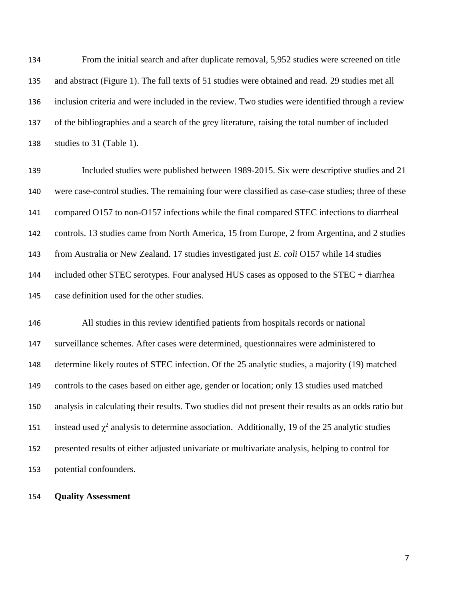From the initial search and after duplicate removal, 5,952 studies were screened on title and abstract (Figure 1). The full texts of 51 studies were obtained and read. 29 studies met all inclusion criteria and were included in the review. Two studies were identified through a review of the bibliographies and a search of the grey literature, raising the total number of included studies to 31 (Table 1).

 Included studies were published between 1989-2015. Six were descriptive studies and 21 were case-control studies. The remaining four were classified as case-case studies; three of these 141 compared O157 to non-O157 infections while the final compared STEC infections to diarrheal controls. 13 studies came from North America, 15 from Europe, 2 from Argentina, and 2 studies from Australia or New Zealand. 17 studies investigated just *E. coli* O157 while 14 studies included other STEC serotypes. Four analysed HUS cases as opposed to the STEC + diarrhea case definition used for the other studies.

 All studies in this review identified patients from hospitals records or national surveillance schemes. After cases were determined, questionnaires were administered to determine likely routes of STEC infection. Of the 25 analytic studies, a majority (19) matched controls to the cases based on either age, gender or location; only 13 studies used matched analysis in calculating their results. Two studies did not present their results as an odds ratio but 151 instead used  $\chi^2$  analysis to determine association. Additionally, 19 of the 25 analytic studies presented results of either adjusted univariate or multivariate analysis, helping to control for potential confounders.

**Quality Assessment**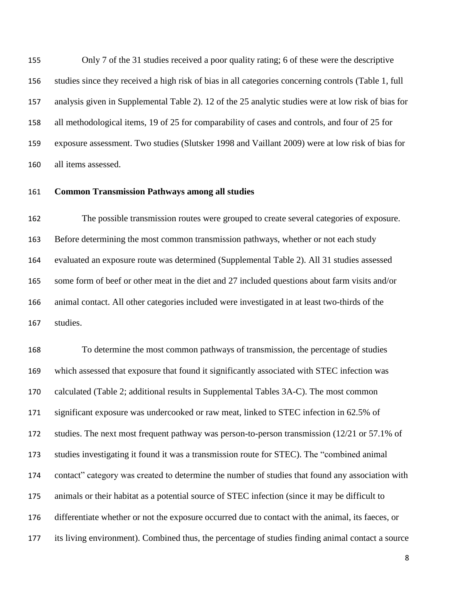Only 7 of the 31 studies received a poor quality rating; 6 of these were the descriptive studies since they received a high risk of bias in all categories concerning controls (Table 1, full analysis given in Supplemental Table 2). 12 of the 25 analytic studies were at low risk of bias for all methodological items, 19 of 25 for comparability of cases and controls, and four of 25 for exposure assessment. Two studies (Slutsker 1998 and Vaillant 2009) were at low risk of bias for all items assessed.

### **Common Transmission Pathways among all studies**

 The possible transmission routes were grouped to create several categories of exposure. Before determining the most common transmission pathways, whether or not each study evaluated an exposure route was determined (Supplemental Table 2). All 31 studies assessed some form of beef or other meat in the diet and 27 included questions about farm visits and/or animal contact. All other categories included were investigated in at least two-thirds of the studies.

 To determine the most common pathways of transmission, the percentage of studies which assessed that exposure that found it significantly associated with STEC infection was calculated (Table 2; additional results in Supplemental Tables 3A-C). The most common significant exposure was undercooked or raw meat, linked to STEC infection in 62.5% of studies. The next most frequent pathway was person-to-person transmission (12/21 or 57.1% of studies investigating it found it was a transmission route for STEC). The "combined animal contact" category was created to determine the number of studies that found any association with animals or their habitat as a potential source of STEC infection (since it may be difficult to differentiate whether or not the exposure occurred due to contact with the animal, its faeces, or its living environment). Combined thus, the percentage of studies finding animal contact a source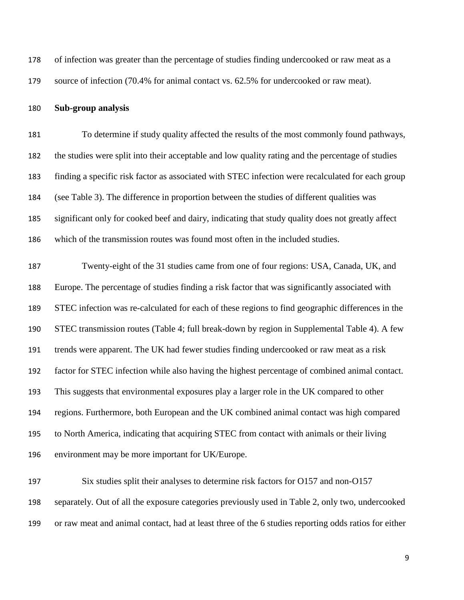of infection was greater than the percentage of studies finding undercooked or raw meat as a

source of infection (70.4% for animal contact vs. 62.5% for undercooked or raw meat).

#### **Sub-group analysis**

 To determine if study quality affected the results of the most commonly found pathways, the studies were split into their acceptable and low quality rating and the percentage of studies finding a specific risk factor as associated with STEC infection were recalculated for each group (see Table 3). The difference in proportion between the studies of different qualities was significant only for cooked beef and dairy, indicating that study quality does not greatly affect which of the transmission routes was found most often in the included studies.

 Twenty-eight of the 31 studies came from one of four regions: USA, Canada, UK, and Europe. The percentage of studies finding a risk factor that was significantly associated with STEC infection was re-calculated for each of these regions to find geographic differences in the STEC transmission routes (Table 4; full break-down by region in Supplemental Table 4). A few trends were apparent. The UK had fewer studies finding undercooked or raw meat as a risk factor for STEC infection while also having the highest percentage of combined animal contact. This suggests that environmental exposures play a larger role in the UK compared to other regions. Furthermore, both European and the UK combined animal contact was high compared to North America, indicating that acquiring STEC from contact with animals or their living environment may be more important for UK/Europe.

 Six studies split their analyses to determine risk factors for O157 and non-O157 separately. Out of all the exposure categories previously used in Table 2, only two, undercooked or raw meat and animal contact, had at least three of the 6 studies reporting odds ratios for either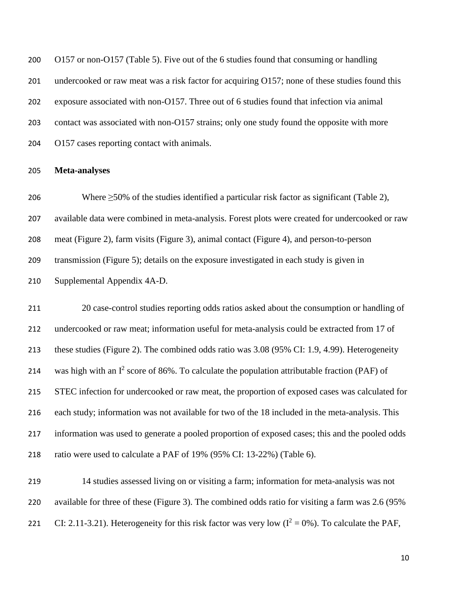O157 or non-O157 (Table 5). Five out of the 6 studies found that consuming or handling 201 undercooked or raw meat was a risk factor for acquiring O157; none of these studies found this exposure associated with non-O157. Three out of 6 studies found that infection via animal contact was associated with non-O157 strains; only one study found the opposite with more O157 cases reporting contact with animals.

#### **Meta-analyses**

206 Where  $\geq$ 50% of the studies identified a particular risk factor as significant (Table 2), available data were combined in meta-analysis. Forest plots were created for undercooked or raw meat (Figure 2), farm visits (Figure 3), animal contact (Figure 4), and person-to-person transmission (Figure 5); details on the exposure investigated in each study is given in Supplemental Appendix 4A-D.

 20 case-control studies reporting odds ratios asked about the consumption or handling of undercooked or raw meat; information useful for meta-analysis could be extracted from 17 of these studies (Figure 2). The combined odds ratio was 3.08 (95% CI: 1.9, 4.99). Heterogeneity 214 was high with an  $I^2$  score of 86%. To calculate the population attributable fraction (PAF) of STEC infection for undercooked or raw meat, the proportion of exposed cases was calculated for each study; information was not available for two of the 18 included in the meta-analysis. This information was used to generate a pooled proportion of exposed cases; this and the pooled odds ratio were used to calculate a PAF of 19% (95% CI: 13-22%) (Table 6).

 14 studies assessed living on or visiting a farm; information for meta-analysis was not available for three of these (Figure 3). The combined odds ratio for visiting a farm was 2.6 (95% 221 CI: 2.11-3.21). Heterogeneity for this risk factor was very low  $(I^2 = 0\%)$ . To calculate the PAF,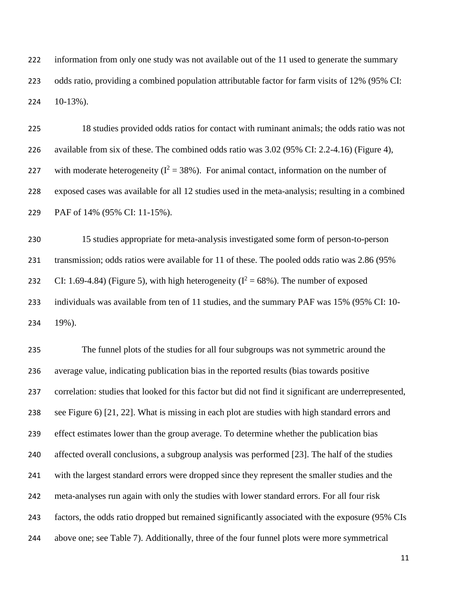information from only one study was not available out of the 11 used to generate the summary odds ratio, providing a combined population attributable factor for farm visits of 12% (95% CI: 10-13%).

| 225 | 18 studies provided odds ratios for contact with ruminant animals; the odds ratio was not         |
|-----|---------------------------------------------------------------------------------------------------|
| 226 | available from six of these. The combined odds ratio was $3.02$ (95% CI: 2.2-4.16) (Figure 4),    |
| 227 | with moderate heterogeneity ( $I^2 = 38\%$ ). For animal contact, information on the number of    |
| 228 | exposed cases was available for all 12 studies used in the meta-analysis; resulting in a combined |
| 229 | PAF of 14% (95% CI: 11-15%).                                                                      |

 15 studies appropriate for meta-analysis investigated some form of person-to-person transmission; odds ratios were available for 11 of these. The pooled odds ratio was 2.86 (95% 232 CI: 1.69-4.84) (Figure 5), with high heterogeneity ( $I^2 = 68\%$ ). The number of exposed individuals was available from ten of 11 studies, and the summary PAF was 15% (95% CI: 10- 19%).

 The funnel plots of the studies for all four subgroups was not symmetric around the average value, indicating publication bias in the reported results (bias towards positive correlation: studies that looked for this factor but did not find it significant are underrepresented, see Figure 6) [21, 22]. What is missing in each plot are studies with high standard errors and effect estimates lower than the group average. To determine whether the publication bias affected overall conclusions, a subgroup analysis was performed [23]. The half of the studies with the largest standard errors were dropped since they represent the smaller studies and the meta-analyses run again with only the studies with lower standard errors. For all four risk factors, the odds ratio dropped but remained significantly associated with the exposure (95% CIs above one; see Table 7). Additionally, three of the four funnel plots were more symmetrical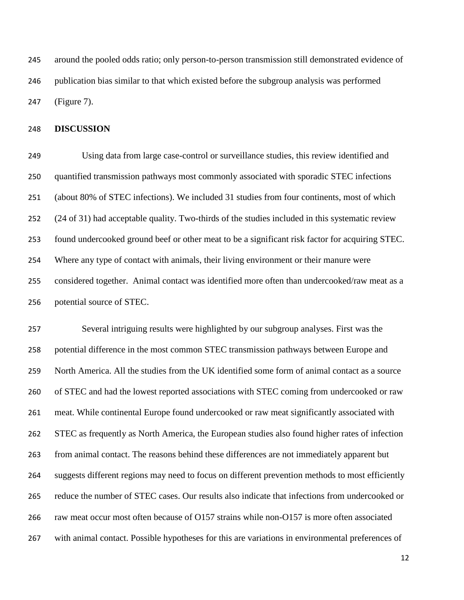around the pooled odds ratio; only person-to-person transmission still demonstrated evidence of publication bias similar to that which existed before the subgroup analysis was performed (Figure 7).

#### **DISCUSSION**

 Using data from large case-control or surveillance studies, this review identified and quantified transmission pathways most commonly associated with sporadic STEC infections (about 80% of STEC infections). We included 31 studies from four continents, most of which (24 of 31) had acceptable quality. Two-thirds of the studies included in this systematic review found undercooked ground beef or other meat to be a significant risk factor for acquiring STEC. Where any type of contact with animals, their living environment or their manure were considered together. Animal contact was identified more often than undercooked/raw meat as a potential source of STEC.

 Several intriguing results were highlighted by our subgroup analyses. First was the potential difference in the most common STEC transmission pathways between Europe and North America. All the studies from the UK identified some form of animal contact as a source of STEC and had the lowest reported associations with STEC coming from undercooked or raw meat. While continental Europe found undercooked or raw meat significantly associated with STEC as frequently as North America, the European studies also found higher rates of infection from animal contact. The reasons behind these differences are not immediately apparent but suggests different regions may need to focus on different prevention methods to most efficiently reduce the number of STEC cases. Our results also indicate that infections from undercooked or raw meat occur most often because of O157 strains while non-O157 is more often associated with animal contact. Possible hypotheses for this are variations in environmental preferences of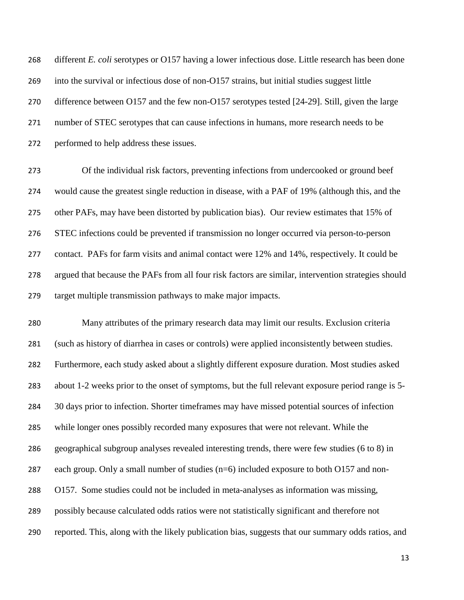different *E. coli* serotypes or O157 having a lower infectious dose. Little research has been done into the survival or infectious dose of non-O157 strains, but initial studies suggest little difference between O157 and the few non-O157 serotypes tested [24-29]. Still, given the large number of STEC serotypes that can cause infections in humans, more research needs to be performed to help address these issues.

 Of the individual risk factors, preventing infections from undercooked or ground beef would cause the greatest single reduction in disease, with a PAF of 19% (although this, and the other PAFs, may have been distorted by publication bias). Our review estimates that 15% of STEC infections could be prevented if transmission no longer occurred via person-to-person contact. PAFs for farm visits and animal contact were 12% and 14%, respectively. It could be argued that because the PAFs from all four risk factors are similar, intervention strategies should target multiple transmission pathways to make major impacts.

 Many attributes of the primary research data may limit our results. Exclusion criteria (such as history of diarrhea in cases or controls) were applied inconsistently between studies. Furthermore, each study asked about a slightly different exposure duration. Most studies asked about 1-2 weeks prior to the onset of symptoms, but the full relevant exposure period range is 5- 30 days prior to infection. Shorter timeframes may have missed potential sources of infection while longer ones possibly recorded many exposures that were not relevant. While the geographical subgroup analyses revealed interesting trends, there were few studies (6 to 8) in each group. Only a small number of studies (n=6) included exposure to both O157 and non- O157. Some studies could not be included in meta-analyses as information was missing, possibly because calculated odds ratios were not statistically significant and therefore not reported. This, along with the likely publication bias, suggests that our summary odds ratios, and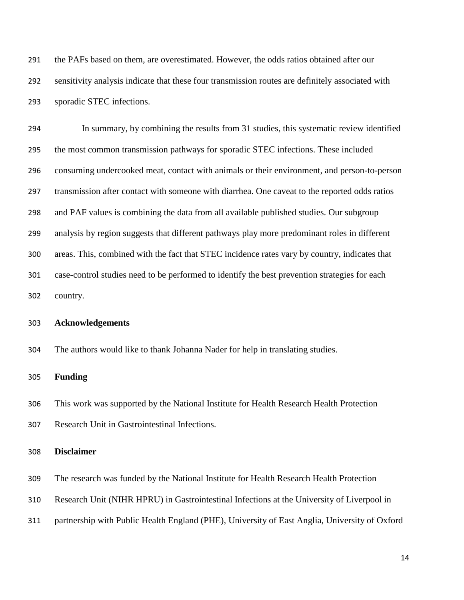the PAFs based on them, are overestimated. However, the odds ratios obtained after our sensitivity analysis indicate that these four transmission routes are definitely associated with sporadic STEC infections.

 In summary, by combining the results from 31 studies, this systematic review identified the most common transmission pathways for sporadic STEC infections. These included consuming undercooked meat, contact with animals or their environment, and person-to-person transmission after contact with someone with diarrhea. One caveat to the reported odds ratios and PAF values is combining the data from all available published studies. Our subgroup analysis by region suggests that different pathways play more predominant roles in different areas. This, combined with the fact that STEC incidence rates vary by country, indicates that case-control studies need to be performed to identify the best prevention strategies for each country.

## **Acknowledgements**

The authors would like to thank Johanna Nader for help in translating studies.

#### **Funding**

 This work was supported by the National Institute for Health Research Health Protection Research Unit in Gastrointestinal Infections.

# **Disclaimer**

The research was funded by the National Institute for Health Research Health Protection

Research Unit (NIHR HPRU) in Gastrointestinal Infections at the University of Liverpool in

partnership with Public Health England (PHE), University of East Anglia, University of Oxford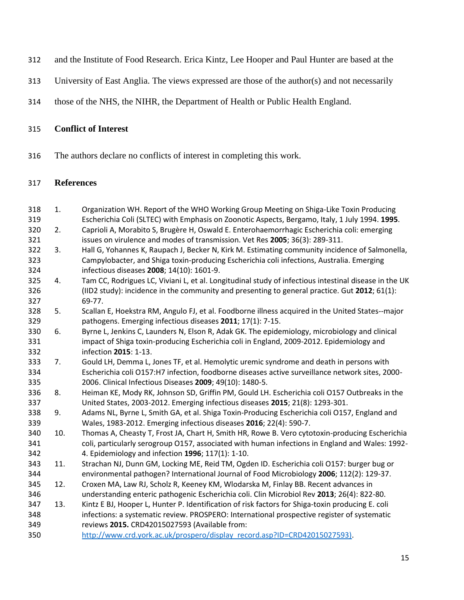- and the Institute of Food Research. Erica Kintz, Lee Hooper and Paul Hunter are based at the
- University of East Anglia. The views expressed are those of the author(s) and not necessarily
- those of the NHS, the NIHR, the Department of Health or Public Health England.

# **Conflict of Interest**

The authors declare no conflicts of interest in completing this work.

# **References**

- 1. Organization WH. Report of the WHO Working Group Meeting on Shiga-Like Toxin Producing Escherichia Coli (SLTEC) with Emphasis on Zoonotic Aspects, Bergamo, Italy, 1 July 1994. **1995**. 2. Caprioli A, Morabito S, Brugère H, Oswald E. Enterohaemorrhagic Escherichia coli: emerging issues on virulence and modes of transmission. Vet Res **2005**; 36(3): 289-311.
- 3. Hall G, Yohannes K, Raupach J, Becker N, Kirk M. Estimating community incidence of Salmonella, Campylobacter, and Shiga toxin-producing Escherichia coli infections, Australia. Emerging infectious diseases **2008**; 14(10): 1601-9.
- 4. Tam CC, Rodrigues LC, Viviani L, et al. Longitudinal study of infectious intestinal disease in the UK (IID2 study): incidence in the community and presenting to general practice. Gut **2012**; 61(1): 69-77.
- 5. Scallan E, Hoekstra RM, Angulo FJ, et al. Foodborne illness acquired in the United States--major pathogens. Emerging infectious diseases **2011**; 17(1): 7-15.
- 6. Byrne L, Jenkins C, Launders N, Elson R, Adak GK. The epidemiology, microbiology and clinical impact of Shiga toxin-producing Escherichia coli in England, 2009-2012. Epidemiology and infection **2015**: 1-13.
- 7. Gould LH, Demma L, Jones TF, et al. Hemolytic uremic syndrome and death in persons with Escherichia coli O157:H7 infection, foodborne diseases active surveillance network sites, 2000- 2006. Clinical Infectious Diseases **2009**; 49(10): 1480-5.
- 8. Heiman KE, Mody RK, Johnson SD, Griffin PM, Gould LH. Escherichia coli O157 Outbreaks in the United States, 2003-2012. Emerging infectious diseases **2015**; 21(8): 1293-301.
- 9. Adams NL, Byrne L, Smith GA, et al. Shiga Toxin-Producing Escherichia coli O157, England and Wales, 1983-2012. Emerging infectious diseases **2016**; 22(4): 590-7.
- 10. Thomas A, Cheasty T, Frost JA, Chart H, Smith HR, Rowe B. Vero cytotoxin-producing Escherichia coli, particularly serogroup O157, associated with human infections in England and Wales: 1992- 4. Epidemiology and infection **1996**; 117(1): 1-10.
- 11. Strachan NJ, Dunn GM, Locking ME, Reid TM, Ogden ID. Escherichia coli O157: burger bug or environmental pathogen? International Journal of Food Microbiology **2006**; 112(2): 129-37.
- 12. Croxen MA, Law RJ, Scholz R, Keeney KM, Wlodarska M, Finlay BB. Recent advances in understanding enteric pathogenic Escherichia coli. Clin Microbiol Rev **2013**; 26(4): 822-80.
- 13. Kintz E BJ, Hooper L, Hunter P. Identification of risk factors for Shiga-toxin producing E. coli infections: a systematic review. PROSPERO: International prospective register of systematic reviews **2015.** CRD42015027593 (Available from:
- [http://www.crd.york.ac.uk/prospero/display\\_record.asp?ID=CRD42015027593\).](http://www.crd.york.ac.uk/prospero/display_record.asp?ID=CRD42015027593))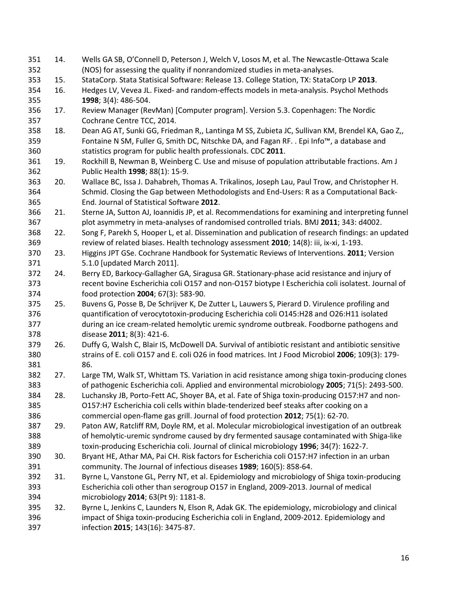| 351        | 14. | Wells GA SB, O'Connell D, Peterson J, Welch V, Losos M, et al. The Newcastle-Ottawa Scale                                                                  |
|------------|-----|------------------------------------------------------------------------------------------------------------------------------------------------------------|
| 352        |     | (NOS) for assessing the quality if nonrandomized studies in meta-analyses.                                                                                 |
| 353        | 15. | StataCorp. Stata Statisical Software: Release 13. College Station, TX: StataCorp LP 2013.                                                                  |
| 354        | 16. | Hedges LV, Vevea JL. Fixed- and random-effects models in meta-analysis. Psychol Methods                                                                    |
| 355        |     | 1998; 3(4): 486-504.                                                                                                                                       |
| 356        | 17. | Review Manager (RevMan) [Computer program]. Version 5.3. Copenhagen: The Nordic                                                                            |
| 357        |     | Cochrane Centre TCC, 2014.                                                                                                                                 |
| 358        | 18. | Dean AG AT, Sunki GG, Friedman R,, Lantinga M SS, Zubieta JC, Sullivan KM, Brendel KA, Gao Z,,                                                             |
| 359<br>360 |     | Fontaine N SM, Fuller G, Smith DC, Nitschke DA, and Fagan RF. . Epi Info™, a database and<br>statistics program for public health professionals. CDC 2011. |
| 361        | 19. | Rockhill B, Newman B, Weinberg C. Use and misuse of population attributable fractions. Am J                                                                |
| 362        |     | Public Health 1998; 88(1): 15-9.                                                                                                                           |
| 363        | 20. | Wallace BC, Issa J. Dahabreh, Thomas A. Trikalinos, Joseph Lau, Paul Trow, and Christopher H.                                                              |
| 364        |     | Schmid. Closing the Gap between Methodologists and End-Users: R as a Computational Back-                                                                   |
| 365        |     | End. Journal of Statistical Software 2012.                                                                                                                 |
| 366        | 21. | Sterne JA, Sutton AJ, Ioannidis JP, et al. Recommendations for examining and interpreting funnel                                                           |
| 367        |     | plot asymmetry in meta-analyses of randomised controlled trials. BMJ 2011; 343: d4002.                                                                     |
| 368        | 22. | Song F, Parekh S, Hooper L, et al. Dissemination and publication of research findings: an updated                                                          |
| 369        |     | review of related biases. Health technology assessment 2010; 14(8): iii, ix-xi, 1-193.                                                                     |
| 370        | 23. | Higgins JPT GSe. Cochrane Handbook for Systematic Reviews of Interventions. 2011; Version                                                                  |
| 371        |     | 5.1.0 [updated March 2011].                                                                                                                                |
| 372        | 24. | Berry ED, Barkocy-Gallagher GA, Siragusa GR. Stationary-phase acid resistance and injury of                                                                |
| 373        |     | recent bovine Escherichia coli O157 and non-O157 biotype I Escherichia coli isolatest. Journal of                                                          |
| 374        |     | food protection 2004; 67(3): 583-90.                                                                                                                       |
| 375        | 25. | Buvens G, Posse B, De Schrijver K, De Zutter L, Lauwers S, Pierard D. Virulence profiling and                                                              |
| 376        |     | quantification of verocytotoxin-producing Escherichia coli O145:H28 and O26:H11 isolated                                                                   |
| 377        |     | during an ice cream-related hemolytic uremic syndrome outbreak. Foodborne pathogens and                                                                    |
| 378        |     | disease 2011; 8(3): 421-6.                                                                                                                                 |
| 379        | 26. | Duffy G, Walsh C, Blair IS, McDowell DA. Survival of antibiotic resistant and antibiotic sensitive                                                         |
| 380        |     | strains of E. coli O157 and E. coli O26 in food matrices. Int J Food Microbiol 2006; 109(3): 179-                                                          |
| 381        |     | 86.                                                                                                                                                        |
| 382        | 27. | Large TM, Walk ST, Whittam TS. Variation in acid resistance among shiga toxin-producing clones                                                             |
| 383        |     | of pathogenic Escherichia coli. Applied and environmental microbiology 2005; 71(5): 2493-500.                                                              |
| 384        | 28. | Luchansky JB, Porto-Fett AC, Shoyer BA, et al. Fate of Shiga toxin-producing O157:H7 and non-                                                              |
| 385        |     | O157:H7 Escherichia coli cells within blade-tenderized beef steaks after cooking on a                                                                      |
| 386        |     | commercial open-flame gas grill. Journal of food protection 2012; 75(1): 62-70.                                                                            |
| 387        | 29. | Paton AW, Ratcliff RM, Doyle RM, et al. Molecular microbiological investigation of an outbreak                                                             |
| 388        |     | of hemolytic-uremic syndrome caused by dry fermented sausage contaminated with Shiga-like                                                                  |
| 389        |     | toxin-producing Escherichia coli. Journal of clinical microbiology 1996; 34(7): 1622-7.                                                                    |
| 390        | 30. | Bryant HE, Athar MA, Pai CH. Risk factors for Escherichia coli O157:H7 infection in an urban                                                               |
| 391        |     | community. The Journal of infectious diseases 1989; 160(5): 858-64.                                                                                        |
| 392        | 31. | Byrne L, Vanstone GL, Perry NT, et al. Epidemiology and microbiology of Shiga toxin-producing                                                              |
| 393        |     | Escherichia coli other than serogroup O157 in England, 2009-2013. Journal of medical                                                                       |
| 394        |     | microbiology 2014; 63(Pt 9): 1181-8.                                                                                                                       |
| 395        | 32. | Byrne L, Jenkins C, Launders N, Elson R, Adak GK. The epidemiology, microbiology and clinical                                                              |
| 396        |     | impact of Shiga toxin-producing Escherichia coli in England, 2009-2012. Epidemiology and                                                                   |
| 397        |     | infection 2015; 143(16): 3475-87.                                                                                                                          |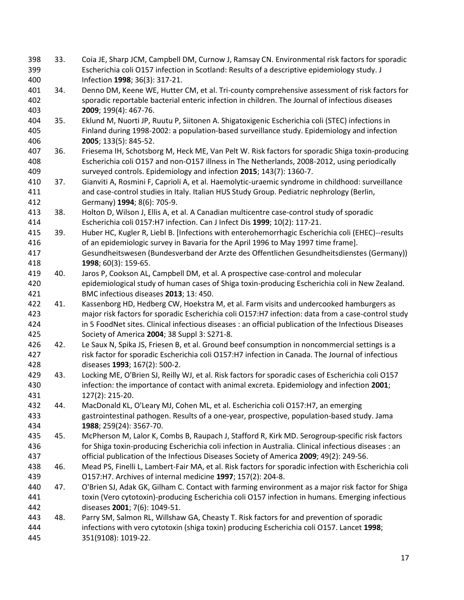33. Coia JE, Sharp JCM, Campbell DM, Curnow J, Ramsay CN. Environmental risk factors for sporadic Escherichia coli O157 infection in Scotland: Results of a descriptive epidemiology study. J Infection **1998**; 36(3): 317-21. 34. Denno DM, Keene WE, Hutter CM, et al. Tri-county comprehensive assessment of risk factors for sporadic reportable bacterial enteric infection in children. The Journal of infectious diseases **2009**; 199(4): 467-76. 35. Eklund M, Nuorti JP, Ruutu P, Siitonen A. Shigatoxigenic Escherichia coli (STEC) infections in Finland during 1998-2002: a population-based surveillance study. Epidemiology and infection **2005**; 133(5): 845-52. 36. Friesema IH, Schotsborg M, Heck ME, Van Pelt W. Risk factors for sporadic Shiga toxin-producing Escherichia coli O157 and non-O157 illness in The Netherlands, 2008-2012, using periodically surveyed controls. Epidemiology and infection **2015**; 143(7): 1360-7. 37. Gianviti A, Rosmini F, Caprioli A, et al. Haemolytic-uraemic syndrome in childhood: surveillance and case-control studies in Italy. Italian HUS Study Group. Pediatric nephrology (Berlin, Germany) **1994**; 8(6): 705-9. 38. Holton D, Wilson J, Ellis A, et al. A Canadian multicentre case-control study of sporadic Escherichia coli 0157:H7 infection. Can J Infect Dis **1999**; 10(2): 117-21. 39. Huber HC, Kugler R, Liebl B. [Infections with enterohemorrhagic Escherichia coli (EHEC)--results of an epidemiologic survey in Bavaria for the April 1996 to May 1997 time frame]. Gesundheitswesen (Bundesverband der Arzte des Offentlichen Gesundheitsdienstes (Germany)) **1998**; 60(3): 159-65. 40. Jaros P, Cookson AL, Campbell DM, et al. A prospective case-control and molecular epidemiological study of human cases of Shiga toxin-producing Escherichia coli in New Zealand. BMC infectious diseases **2013**; 13: 450. 41. Kassenborg HD, Hedberg CW, Hoekstra M, et al. Farm visits and undercooked hamburgers as major risk factors for sporadic Escherichia coli O157:H7 infection: data from a case-control study in 5 FoodNet sites. Clinical infectious diseases : an official publication of the Infectious Diseases Society of America **2004**; 38 Suppl 3: S271-8. 426 42. Le Saux N, Spika JS, Friesen B, et al. Ground beef consumption in noncommercial settings is a risk factor for sporadic Escherichia coli O157:H7 infection in Canada. The Journal of infectious diseases **1993**; 167(2): 500-2. 43. Locking ME, O'Brien SJ, Reilly WJ, et al. Risk factors for sporadic cases of Escherichia coli O157 infection: the importance of contact with animal excreta. Epidemiology and infection **2001**; 127(2): 215-20. 44. MacDonald KL, O'Leary MJ, Cohen ML, et al. Escherichia coli O157:H7, an emerging gastrointestinal pathogen. Results of a one-year, prospective, population-based study. Jama **1988**; 259(24): 3567-70. 45. McPherson M, Lalor K, Combs B, Raupach J, Stafford R, Kirk MD. Serogroup-specific risk factors for Shiga toxin-producing Escherichia coli infection in Australia. Clinical infectious diseases : an official publication of the Infectious Diseases Society of America **2009**; 49(2): 249-56. 46. Mead PS, Finelli L, Lambert-Fair MA, et al. Risk factors for sporadic infection with Escherichia coli O157:H7. Archives of internal medicine **1997**; 157(2): 204-8. 47. O'Brien SJ, Adak GK, Gilham C. Contact with farming environment as a major risk factor for Shiga toxin (Vero cytotoxin)-producing Escherichia coli O157 infection in humans. Emerging infectious diseases **2001**; 7(6): 1049-51. 48. Parry SM, Salmon RL, Willshaw GA, Cheasty T. Risk factors for and prevention of sporadic infections with vero cytotoxin (shiga toxin) producing Escherichia coli O157. Lancet **1998**; 351(9108): 1019-22.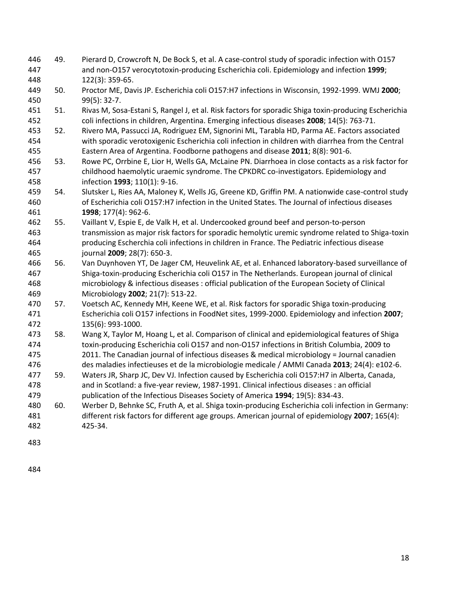- 49. Pierard D, Crowcroft N, De Bock S, et al. A case-control study of sporadic infection with O157 and non-O157 verocytotoxin-producing Escherichia coli. Epidemiology and infection **1999**; 122(3): 359-65.
- 50. Proctor ME, Davis JP. Escherichia coli O157:H7 infections in Wisconsin, 1992-1999. WMJ **2000**; 99(5): 32-7.
- 51. Rivas M, Sosa-Estani S, Rangel J, et al. Risk factors for sporadic Shiga toxin-producing Escherichia coli infections in children, Argentina. Emerging infectious diseases **2008**; 14(5): 763-71.
- 52. Rivero MA, Passucci JA, Rodriguez EM, Signorini ML, Tarabla HD, Parma AE. Factors associated with sporadic verotoxigenic Escherichia coli infection in children with diarrhea from the Central Eastern Area of Argentina. Foodborne pathogens and disease **2011**; 8(8): 901-6.
- 53. Rowe PC, Orrbine E, Lior H, Wells GA, McLaine PN. Diarrhoea in close contacts as a risk factor for childhood haemolytic uraemic syndrome. The CPKDRC co-investigators. Epidemiology and infection **1993**; 110(1): 9-16.
- 54. Slutsker L, Ries AA, Maloney K, Wells JG, Greene KD, Griffin PM. A nationwide case-control study of Escherichia coli O157:H7 infection in the United States. The Journal of infectious diseases **1998**; 177(4): 962-6.
- 55. Vaillant V, Espie E, de Valk H, et al. Undercooked ground beef and person-to-person transmission as major risk factors for sporadic hemolytic uremic syndrome related to Shiga-toxin producing Escherchia coli infections in children in France. The Pediatric infectious disease journal **2009**; 28(7): 650-3.
- 56. Van Duynhoven YT, De Jager CM, Heuvelink AE, et al. Enhanced laboratory-based surveillance of Shiga-toxin-producing Escherichia coli O157 in The Netherlands. European journal of clinical microbiology & infectious diseases : official publication of the European Society of Clinical Microbiology **2002**; 21(7): 513-22.
- 57. Voetsch AC, Kennedy MH, Keene WE, et al. Risk factors for sporadic Shiga toxin-producing Escherichia coli O157 infections in FoodNet sites, 1999-2000. Epidemiology and infection **2007**; 135(6): 993-1000.
- 58. Wang X, Taylor M, Hoang L, et al. Comparison of clinical and epidemiological features of Shiga toxin-producing Escherichia coli O157 and non-O157 infections in British Columbia, 2009 to 2011. The Canadian journal of infectious diseases & medical microbiology = Journal canadien
- des maladies infectieuses et de la microbiologie medicale / AMMI Canada **2013**; 24(4): e102-6.
- 59. Waters JR, Sharp JC, Dev VJ. Infection caused by Escherichia coli O157:H7 in Alberta, Canada, and in Scotland: a five-year review, 1987-1991. Clinical infectious diseases : an official publication of the Infectious Diseases Society of America **1994**; 19(5): 834-43.
- 60. Werber D, Behnke SC, Fruth A, et al. Shiga toxin-producing Escherichia coli infection in Germany: different risk factors for different age groups. American journal of epidemiology **2007**; 165(4): 425-34.
-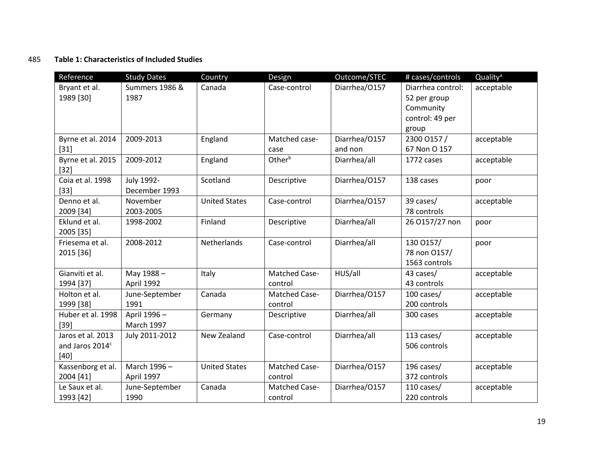# 485 **Table 1: Characteristics of Included Studies**

| Reference                    | <b>Study Dates</b>        | Country              | Design               | Outcome/STEC  | # cases/controls  | Quality <sup>a</sup> |
|------------------------------|---------------------------|----------------------|----------------------|---------------|-------------------|----------------------|
| Bryant et al.                | <b>Summers 1986 &amp;</b> | Canada               | Case-control         | Diarrhea/0157 | Diarrhea control: | acceptable           |
| 1989 [30]                    | 1987                      |                      |                      |               | 52 per group      |                      |
|                              |                           |                      |                      |               | Community         |                      |
|                              |                           |                      |                      |               | control: 49 per   |                      |
|                              |                           |                      |                      |               | group             |                      |
| Byrne et al. 2014            | 2009-2013                 | England              | Matched case-        | Diarrhea/0157 | 2300 0157 /       | acceptable           |
| $[31]$                       |                           |                      | case                 | and non       | 67 Non O 157      |                      |
| Byrne et al. 2015<br>$[32]$  | 2009-2012                 | England              | Other <sup>b</sup>   | Diarrhea/all  | 1772 cases        | acceptable           |
| Coia et al. 1998             | July 1992-                | Scotland             | Descriptive          | Diarrhea/0157 | 138 cases         | poor                 |
| $[33]$                       | December 1993             |                      |                      |               |                   |                      |
| Denno et al.                 | November                  | <b>United States</b> | Case-control         | Diarrhea/0157 | 39 cases/         | acceptable           |
| 2009 [34]                    | 2003-2005                 |                      |                      |               | 78 controls       |                      |
| Eklund et al.                | 1998-2002                 | Finland              | Descriptive          | Diarrhea/all  | 26 O157/27 non    | poor                 |
| 2005 [35]<br>Friesema et al. | 2008-2012                 | Netherlands          | Case-control         | Diarrhea/all  | 130 0157/         |                      |
| 2015 [36]                    |                           |                      |                      |               | 78 non 0157/      | poor                 |
|                              |                           |                      |                      |               | 1563 controls     |                      |
| Gianviti et al.              | May 1988-                 | Italy                | <b>Matched Case-</b> | HUS/all       | 43 cases/         | acceptable           |
| 1994 [37]                    | April 1992                |                      | control              |               | 43 controls       |                      |
| Holton et al.                | June-September            | Canada               | Matched Case-        | Diarrhea/0157 | 100 cases/        | acceptable           |
| 1999 [38]                    | 1991                      |                      | control              |               | 200 controls      |                      |
| Huber et al. 1998            | April 1996-               | Germany              | Descriptive          | Diarrhea/all  | 300 cases         | acceptable           |
| $[39]$                       | <b>March 1997</b>         |                      |                      |               |                   |                      |
| Jaros et al. 2013            | July 2011-2012            | New Zealand          | Case-control         | Diarrhea/all  | 113 cases/        | acceptable           |
| and Jaros 2014c              |                           |                      |                      |               | 506 controls      |                      |
| $[40]$                       |                           |                      |                      |               |                   |                      |
| Kassenborg et al.            | March 1996-               | <b>United States</b> | <b>Matched Case-</b> | Diarrhea/0157 | 196 cases/        | acceptable           |
| 2004 [41]                    | April 1997                |                      | control              |               | 372 controls      |                      |
| Le Saux et al.               | June-September            | Canada               | Matched Case-        | Diarrhea/0157 | 110 cases/        | acceptable           |
| 1993 [42]                    | 1990                      |                      | control              |               | 220 controls      |                      |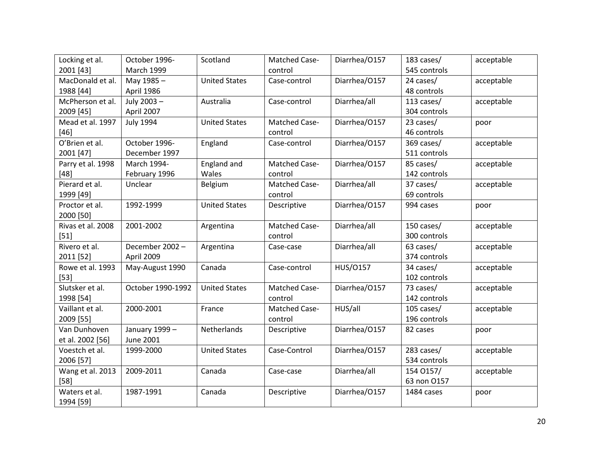| Locking et al.              | October 1996-     | Scotland             | <b>Matched Case-</b> | Diarrhea/0157 | 183 cases/   | acceptable |
|-----------------------------|-------------------|----------------------|----------------------|---------------|--------------|------------|
| 2001 [43]                   | <b>March 1999</b> |                      | control              |               | 545 controls |            |
| MacDonald et al.            | May 1985-         | <b>United States</b> | Case-control         | Diarrhea/0157 | 24 cases/    | acceptable |
| 1988 [44]                   | April 1986        |                      |                      |               | 48 controls  |            |
| McPherson et al.            | July 2003-        | Australia            | Case-control         | Diarrhea/all  | 113 cases/   | acceptable |
| 2009 [45]                   | April 2007        |                      |                      |               | 304 controls |            |
| Mead et al. 1997            | <b>July 1994</b>  | <b>United States</b> | <b>Matched Case-</b> | Diarrhea/0157 | 23 cases/    | poor       |
| $[46]$                      |                   |                      | control              |               | 46 controls  |            |
| O'Brien et al.              | October 1996-     | England              | Case-control         | Diarrhea/0157 | 369 cases/   | acceptable |
| 2001 [47]                   | December 1997     |                      |                      |               | 511 controls |            |
| Parry et al. 1998           | March 1994-       | England and          | <b>Matched Case-</b> | Diarrhea/0157 | 85 cases/    | acceptable |
| $[48]$                      | February 1996     | Wales                | control              |               | 142 controls |            |
| Pierard et al.              | Unclear           | Belgium              | <b>Matched Case-</b> | Diarrhea/all  | 37 cases/    | acceptable |
| 1999 [49]                   |                   |                      | control              |               | 69 controls  |            |
| Proctor et al.<br>2000 [50] | 1992-1999         | <b>United States</b> | Descriptive          | Diarrhea/0157 | 994 cases    | poor       |
| Rivas et al. 2008           | 2001-2002         | Argentina            | <b>Matched Case-</b> | Diarrhea/all  | 150 cases/   | acceptable |
| $[51]$                      |                   |                      | control              |               | 300 controls |            |
| Rivero et al.               | December 2002-    | Argentina            | Case-case            | Diarrhea/all  | 63 cases/    | acceptable |
| 2011 [52]                   | April 2009        |                      |                      |               | 374 controls |            |
| Rowe et al. 1993            | May-August 1990   | Canada               | Case-control         | HUS/0157      | 34 cases/    | acceptable |
| $[53]$                      |                   |                      |                      |               | 102 controls |            |
| Slutsker et al.             | October 1990-1992 | <b>United States</b> | <b>Matched Case-</b> | Diarrhea/0157 | 73 cases/    | acceptable |
| 1998 [54]                   |                   |                      | control              |               | 142 controls |            |
| Vaillant et al.             | 2000-2001         | France               | <b>Matched Case-</b> | HUS/all       | 105 cases/   | acceptable |
| 2009 [55]                   |                   |                      | control              |               | 196 controls |            |
| Van Dunhoven                | January 1999 -    | Netherlands          | <b>Descriptive</b>   | Diarrhea/0157 | 82 cases     | poor       |
| et al. 2002 [56]            | <b>June 2001</b>  |                      |                      |               |              |            |
| Voestch et al.              | 1999-2000         | <b>United States</b> | Case-Control         | Diarrhea/0157 | 283 cases/   | acceptable |
| 2006 [57]                   |                   |                      |                      |               | 534 controls |            |
| Wang et al. 2013            | 2009-2011         | Canada               | Case-case            | Diarrhea/all  | 154 0157/    | acceptable |
| $[58]$                      |                   |                      |                      |               | 63 non 0157  |            |
| Waters et al.               | 1987-1991         | Canada               | Descriptive          | Diarrhea/0157 | 1484 cases   | poor       |
| 1994 [59]                   |                   |                      |                      |               |              |            |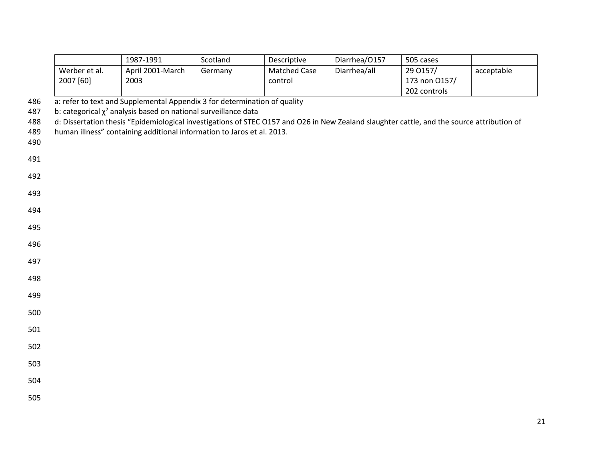|            |               | 1987-1991                                                                                                                                                                                                          | Scotland | Descriptive  | Diarrhea/0157 | 505 cases     |            |
|------------|---------------|--------------------------------------------------------------------------------------------------------------------------------------------------------------------------------------------------------------------|----------|--------------|---------------|---------------|------------|
|            | Werber et al. | April 2001-March                                                                                                                                                                                                   | Germany  | Matched Case | Diarrhea/all  | 29 0157/      | acceptable |
|            | 2007 [60]     | 2003                                                                                                                                                                                                               |          | control      |               | 173 non 0157/ |            |
|            |               |                                                                                                                                                                                                                    |          |              |               | 202 controls  |            |
| 486        |               | a: refer to text and Supplemental Appendix 3 for determination of quality                                                                                                                                          |          |              |               |               |            |
| 487        |               | b: categorical $\chi^2$ analysis based on national surveillance data<br>d: Dissertation thesis "Epidemiological investigations of STEC 0157 and 026 in New Zealand slaughter cattle, and the source attribution of |          |              |               |               |            |
| 488<br>489 |               | human illness" containing additional information to Jaros et al. 2013.                                                                                                                                             |          |              |               |               |            |
| 490        |               |                                                                                                                                                                                                                    |          |              |               |               |            |
|            |               |                                                                                                                                                                                                                    |          |              |               |               |            |
| 491        |               |                                                                                                                                                                                                                    |          |              |               |               |            |
| 492        |               |                                                                                                                                                                                                                    |          |              |               |               |            |
| 493        |               |                                                                                                                                                                                                                    |          |              |               |               |            |
|            |               |                                                                                                                                                                                                                    |          |              |               |               |            |
| 494        |               |                                                                                                                                                                                                                    |          |              |               |               |            |
| 495        |               |                                                                                                                                                                                                                    |          |              |               |               |            |
| 496        |               |                                                                                                                                                                                                                    |          |              |               |               |            |
|            |               |                                                                                                                                                                                                                    |          |              |               |               |            |
| 497        |               |                                                                                                                                                                                                                    |          |              |               |               |            |
| 498        |               |                                                                                                                                                                                                                    |          |              |               |               |            |
| 499        |               |                                                                                                                                                                                                                    |          |              |               |               |            |
| 500        |               |                                                                                                                                                                                                                    |          |              |               |               |            |
|            |               |                                                                                                                                                                                                                    |          |              |               |               |            |
| 501        |               |                                                                                                                                                                                                                    |          |              |               |               |            |
| 502        |               |                                                                                                                                                                                                                    |          |              |               |               |            |
| 503        |               |                                                                                                                                                                                                                    |          |              |               |               |            |
|            |               |                                                                                                                                                                                                                    |          |              |               |               |            |
| 504        |               |                                                                                                                                                                                                                    |          |              |               |               |            |
| 505        |               |                                                                                                                                                                                                                    |          |              |               |               |            |
|            |               |                                                                                                                                                                                                                    |          |              |               |               |            |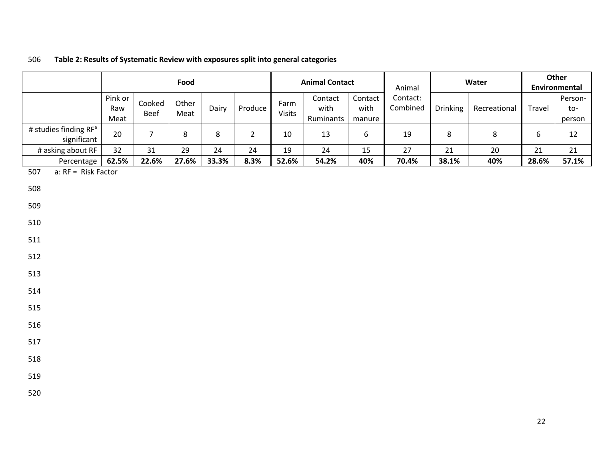# 506 **Table 2: Results of Systematic Review with exposures split into general categories**

|                                                  | Food                   |                | <b>Animal Contact</b><br>Animal |       |                |                | Water                        |                           | Other<br>Environmental |          |              |                  |                          |
|--------------------------------------------------|------------------------|----------------|---------------------------------|-------|----------------|----------------|------------------------------|---------------------------|------------------------|----------|--------------|------------------|--------------------------|
|                                                  | Pink or<br>Raw<br>Meat | Cooked<br>Beef | Other<br>Meat                   | Dairy | Produce        | Farm<br>Visits | Contact<br>with<br>Ruminants | Contact<br>with<br>manure | Contact:<br>Combined   | Drinking | Recreational | Travel           | Person-<br>to-<br>person |
| # studies finding RF <sup>a</sup><br>significant | 20                     | $\overline{7}$ | 8                               | 8     | $\overline{2}$ | 10             | 13                           | 6                         | 19                     | 8        | $\,8\,$      | $\boldsymbol{6}$ | 12                       |
| # asking about RF                                | 32                     | 31             | 29                              | 24    | 24             | 19             | 24                           | 15                        | 27                     | 21       | 20           | 21               | 21                       |
| Percentage                                       | 62.5%                  | 22.6%          | 27.6%                           | 33.3% | 8.3%           | 52.6%          | 54.2%                        | 40%                       | 70.4%                  | 38.1%    | 40%          | 28.6%            | 57.1%                    |
| 507<br>a: RF = Risk Factor                       |                        |                |                                 |       |                |                |                              |                           |                        |          |              |                  |                          |
| 508                                              |                        |                |                                 |       |                |                |                              |                           |                        |          |              |                  |                          |
| 509                                              |                        |                |                                 |       |                |                |                              |                           |                        |          |              |                  |                          |
| 510                                              |                        |                |                                 |       |                |                |                              |                           |                        |          |              |                  |                          |
| 511                                              |                        |                |                                 |       |                |                |                              |                           |                        |          |              |                  |                          |
| 512                                              |                        |                |                                 |       |                |                |                              |                           |                        |          |              |                  |                          |
| 513                                              |                        |                |                                 |       |                |                |                              |                           |                        |          |              |                  |                          |
| 514                                              |                        |                |                                 |       |                |                |                              |                           |                        |          |              |                  |                          |
| 515                                              |                        |                |                                 |       |                |                |                              |                           |                        |          |              |                  |                          |
| 516                                              |                        |                |                                 |       |                |                |                              |                           |                        |          |              |                  |                          |
| 517                                              |                        |                |                                 |       |                |                |                              |                           |                        |          |              |                  |                          |
| 518                                              |                        |                |                                 |       |                |                |                              |                           |                        |          |              |                  |                          |
| 519                                              |                        |                |                                 |       |                |                |                              |                           |                        |          |              |                  |                          |
| 520                                              |                        |                |                                 |       |                |                |                              |                           |                        |          |              |                  |                          |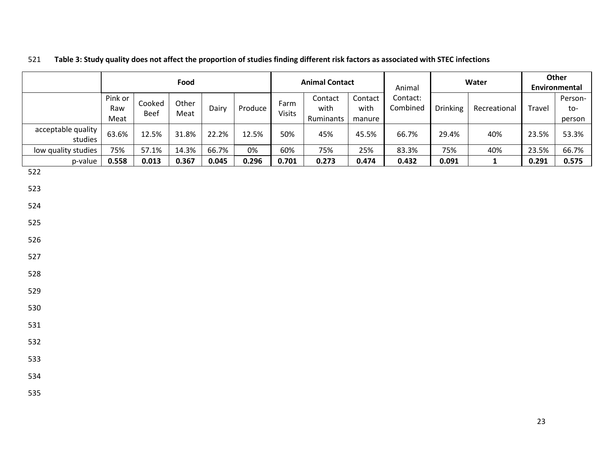|                               |                        |                | Food          |       |         |                | <b>Animal Contact</b>        |                           | Animal               |          | Water        |        | Other<br>Environmental   |
|-------------------------------|------------------------|----------------|---------------|-------|---------|----------------|------------------------------|---------------------------|----------------------|----------|--------------|--------|--------------------------|
|                               | Pink or<br>Raw<br>Meat | Cooked<br>Beef | Other<br>Meat | Dairy | Produce | Farm<br>Visits | Contact<br>with<br>Ruminants | Contact<br>with<br>manure | Contact:<br>Combined | Drinking | Recreational | Travel | Person-<br>to-<br>person |
| acceptable quality<br>studies | 63.6%                  | 12.5%          | 31.8%         | 22.2% | 12.5%   | 50%            | 45%                          | 45.5%                     | 66.7%                | 29.4%    | 40%          | 23.5%  | 53.3%                    |
| low quality studies           | 75%                    | 57.1%          | 14.3%         | 66.7% | $0\%$   | 60%            | 75%                          | 25%                       | 83.3%                | 75%      | 40%          | 23.5%  | 66.7%                    |
| p-value                       | 0.558                  | 0.013          | 0.367         | 0.045 | 0.296   | 0.701          | 0.273                        | 0.474                     | 0.432                | 0.091    | $\mathbf{1}$ | 0.291  | 0.575                    |
| 522                           |                        |                |               |       |         |                |                              |                           |                      |          |              |        |                          |
| 523                           |                        |                |               |       |         |                |                              |                           |                      |          |              |        |                          |
| 524                           |                        |                |               |       |         |                |                              |                           |                      |          |              |        |                          |
| 525                           |                        |                |               |       |         |                |                              |                           |                      |          |              |        |                          |
| 526                           |                        |                |               |       |         |                |                              |                           |                      |          |              |        |                          |
| 527                           |                        |                |               |       |         |                |                              |                           |                      |          |              |        |                          |
| 528                           |                        |                |               |       |         |                |                              |                           |                      |          |              |        |                          |
| 529                           |                        |                |               |       |         |                |                              |                           |                      |          |              |        |                          |
| 530                           |                        |                |               |       |         |                |                              |                           |                      |          |              |        |                          |
| 531                           |                        |                |               |       |         |                |                              |                           |                      |          |              |        |                          |
| 532                           |                        |                |               |       |         |                |                              |                           |                      |          |              |        |                          |
| 533                           |                        |                |               |       |         |                |                              |                           |                      |          |              |        |                          |
| 534                           |                        |                |               |       |         |                |                              |                           |                      |          |              |        |                          |
| 535                           |                        |                |               |       |         |                |                              |                           |                      |          |              |        |                          |

# 521 **Table 3: Study quality does not affect the proportion of studies finding different risk factors as associated with STEC infections**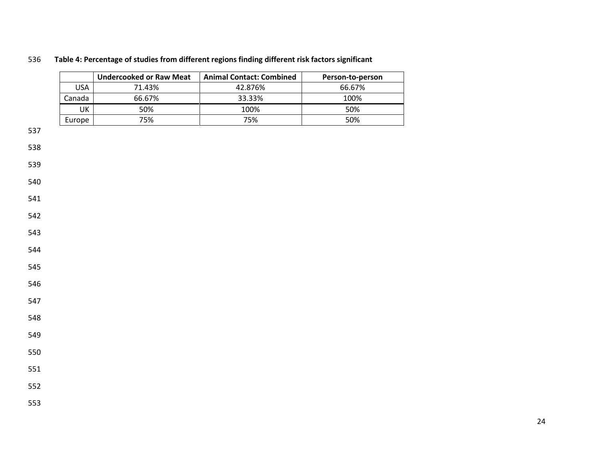# **Table 4: Percentage of studies from different regions finding different risk factors significant**

|            | <b>Undercooked or Raw Meat</b> | <b>Animal Contact: Combined</b> | Person-to-person |
|------------|--------------------------------|---------------------------------|------------------|
| <b>USA</b> | 71.43%                         | 42.876%                         | 66.67%           |
| Canada     | 66.67%                         | 33.33%                          | 100%             |
| UK         | 50%                            | 100%                            | 50%              |
| Europe     | 75%                            | 75%                             | 50%              |
|            |                                |                                 |                  |
|            |                                |                                 |                  |
|            |                                |                                 |                  |
|            |                                |                                 |                  |
|            |                                |                                 |                  |
|            |                                |                                 |                  |
|            |                                |                                 |                  |
|            |                                |                                 |                  |
|            |                                |                                 |                  |
|            |                                |                                 |                  |
|            |                                |                                 |                  |
|            |                                |                                 |                  |
|            |                                |                                 |                  |
|            |                                |                                 |                  |
|            |                                |                                 |                  |
|            |                                |                                 |                  |
|            |                                |                                 |                  |
|            |                                |                                 |                  |
|            |                                |                                 |                  |
|            |                                |                                 |                  |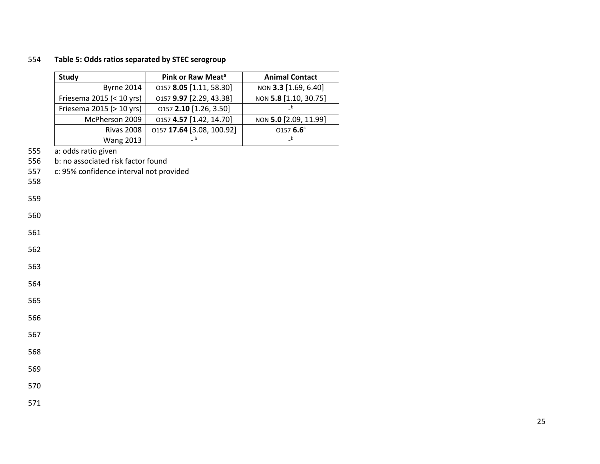## 554 **Table 5: Odds ratios separated by STEC serogroup**

| <b>Study</b>             | Pink or Raw Meat <sup>a</sup> | <b>Animal Contact</b> |
|--------------------------|-------------------------------|-----------------------|
| <b>Byrne 2014</b>        | 0157 8.05 [1.11, 58.30]       | NON 3.3 [1.69, 6.40]  |
| Friesema 2015 (< 10 yrs) | 0157 9.97 [2.29, 43.38]       | NON 5.8 [1.10, 30.75] |
| Friesema 2015 (> 10 yrs) | 0157 2.10 [1.26, 3.50]        | $_b$                  |
| McPherson 2009           | 0157 4.57 [1.42, 14.70]       | NON 5.0 [2.09, 11.99] |
| <b>Rivas 2008</b>        | 0157 17.64 [3.08, 100.92]     | 0157 $6.6^{\circ}$    |
| <b>Wang 2013</b>         |                               | $_b$                  |

555 a: odds ratio given<br>556 b: no associated ris

556 b: no associated risk factor found<br>557 c: 95% confidence interval not pro

c: 95% confidence interval not provided

558

- 560
- 561
- 562
- 
- 563
- 564
- 565
- 
- 566
- 567
- 568
- 569

- 570
- 571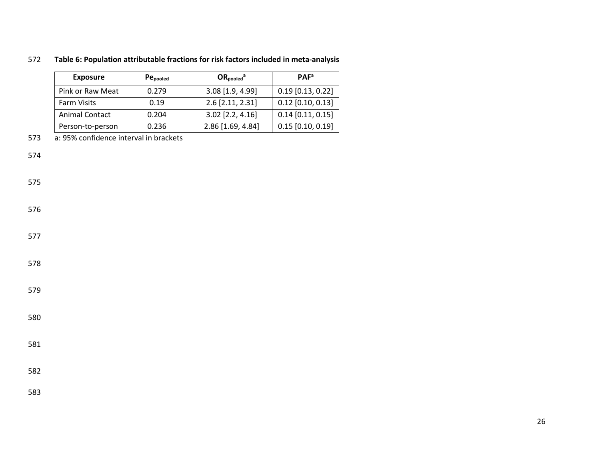| <b>Exposure</b>       | Pe <sub>pooled</sub> | $OR_{pooled}^a$   | <b>PAF<sup>a</sup></b> |
|-----------------------|----------------------|-------------------|------------------------|
| Pink or Raw Meat      | 0.279                | 3.08 [1.9, 4.99]  | $0.19$ [0.13, 0.22]    |
| <b>Farm Visits</b>    | 0.19                 | 2.6 [2.11, 2.31]  | $0.12$ [0.10, 0.13]    |
| <b>Animal Contact</b> | 0.204                | 3.02 [2.2, 4.16]  | $0.14$ [0.11, 0.15]    |
| Person-to-person      | 0.236                | 2.86 [1.69, 4.84] | $0.15$ [0.10, 0.19]    |

# **Table 6: Population attributable fractions for risk factors included in meta-analysis**

a: 95% confidence interval in brackets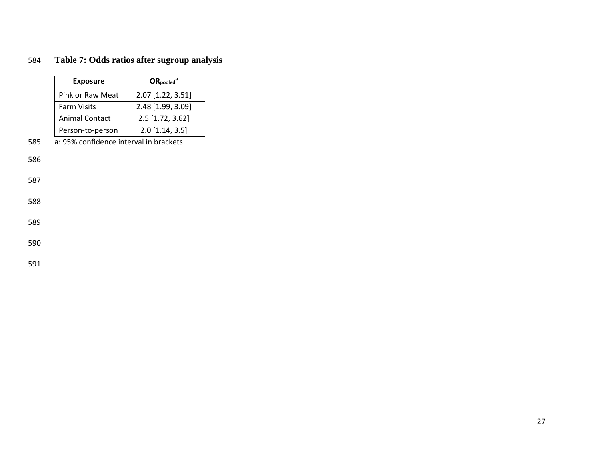# 584 **Table 7: Odds ratios after sugroup analysis**

| <b>Exposure</b>       | $OR_{pooled}^a$   |
|-----------------------|-------------------|
| Pink or Raw Meat      | 2.07 [1.22, 3.51] |
| <b>Farm Visits</b>    | 2.48 [1.99, 3.09] |
| <b>Animal Contact</b> | 2.5 [1.72, 3.62]  |
| Person-to-person      | $2.0$ [1.14, 3.5] |

585 a: 95% confidence interval in brackets

586

587

588

589

590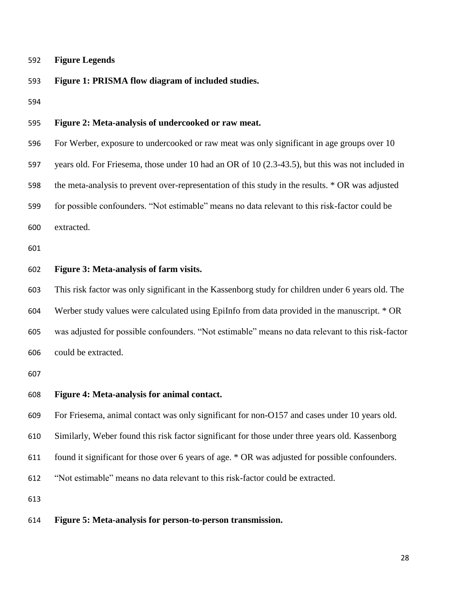#### **Figure Legends**

#### **Figure 1: PRISMA flow diagram of included studies.**

# **Figure 2: Meta-analysis of undercooked or raw meat.**

 For Werber, exposure to undercooked or raw meat was only significant in age groups over 10 years old. For Friesema, those under 10 had an OR of 10 (2.3-43.5), but this was not included in the meta-analysis to prevent over-representation of this study in the results. \* OR was adjusted for possible confounders. "Not estimable" means no data relevant to this risk-factor could be extracted.

#### **Figure 3: Meta-analysis of farm visits.**

 This risk factor was only significant in the Kassenborg study for children under 6 years old. The Werber study values were calculated using EpiInfo from data provided in the manuscript. \* OR was adjusted for possible confounders. "Not estimable" means no data relevant to this risk-factor could be extracted.

#### **Figure 4: Meta-analysis for animal contact.**

For Friesema, animal contact was only significant for non-O157 and cases under 10 years old.

Similarly, Weber found this risk factor significant for those under three years old. Kassenborg

found it significant for those over 6 years of age. \* OR was adjusted for possible confounders.

"Not estimable" means no data relevant to this risk-factor could be extracted.

#### **Figure 5: Meta-analysis for person-to-person transmission.**